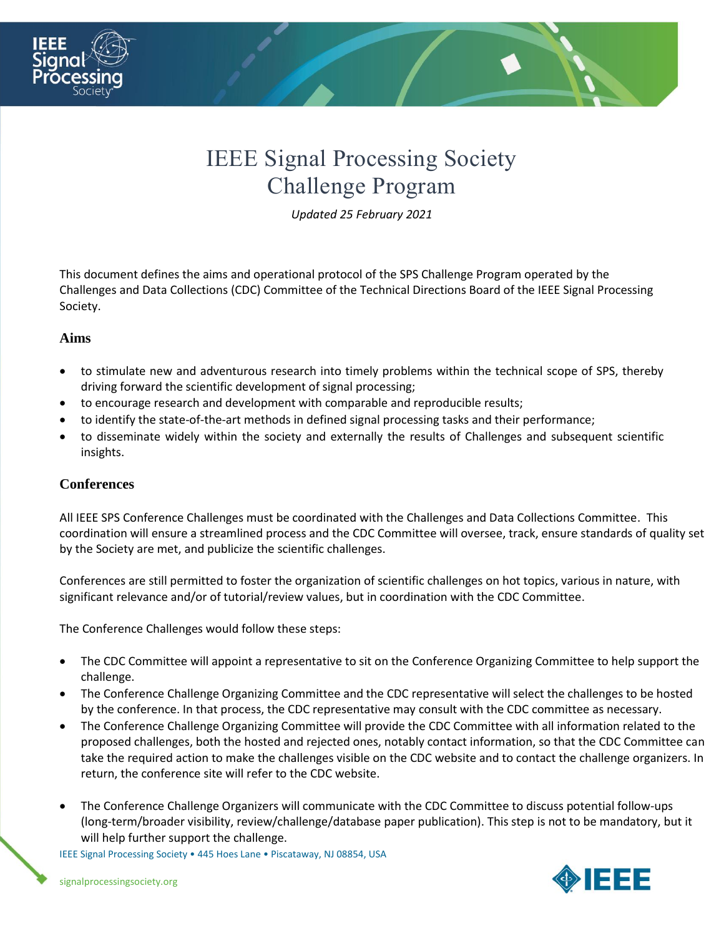

# IEEE Signal Processing Society Challenge Program

*Updated 25 February 2021*

This document defines the aims and operational protocol of the SPS Challenge Program operated by the Challenges and Data Collections (CDC) Committee of the Technical Directions Board of the IEEE Signal Processing Society.

# **Aims**

- to stimulate new and adventurous research into timely problems within the technical scope of SPS, thereby driving forward the scientific development of signal processing;
- to encourage research and development with comparable and reproducible results;
- to identify the state-of-the-art methods in defined signal processing tasks and their performance;
- to disseminate widely within the society and externally the results of Challenges and subsequent scientific insights.

# **Conferences**

All IEEE SPS Conference Challenges must be coordinated with the Challenges and Data Collections Committee. This coordination will ensure a streamlined process and the CDC Committee will oversee, track, ensure standards of quality set by the Society are met, and publicize the scientific challenges.

Conferences are still permitted to foster the organization of scientific challenges on hot topics, various in nature, with significant relevance and/or of tutorial/review values, but in coordination with the CDC Committee.

The Conference Challenges would follow these steps:

- The CDC Committee will appoint a representative to sit on the Conference Organizing Committee to help support the challenge.
- The Conference Challenge Organizing Committee and the CDC representative will select the challenges to be hosted by the conference. In that process, the CDC representative may consult with the CDC committee as necessary.
- The Conference Challenge Organizing Committee will provide the CDC Committee with all information related to the proposed challenges, both the hosted and rejected ones, notably contact information, so that the CDC Committee can take the required action to make the challenges visible on the CDC website and to contact the challenge organizers. In return, the conference site will refer to the CDC website.
- The Conference Challenge Organizers will communicate with the CDC Committee to discuss potential follow-ups (long-term/broader visibility, review/challenge/database paper publication). This step is not to be mandatory, but it will help further support the challenge.

IEEE Signal Processing Society • 445 Hoes Lane • Piscataway, NJ 08854, USA

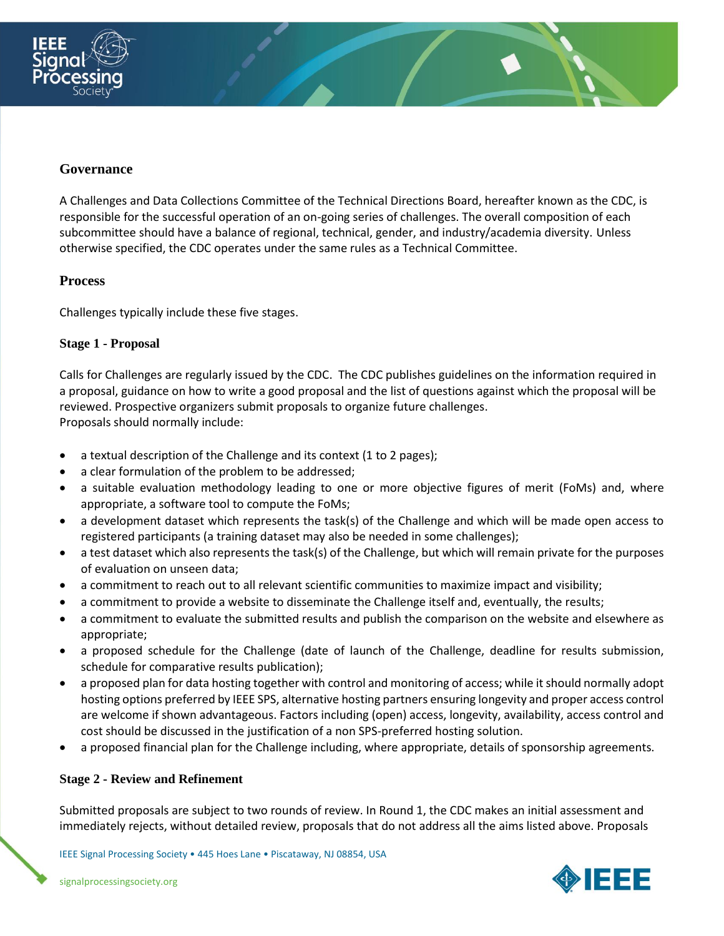



A Challenges and Data Collections Committee of the Technical Directions Board, hereafter known as the CDC, is responsible for the successful operation of an on-going series of challenges. The overall composition of each subcommittee should have a balance of regional, technical, gender, and industry/academia diversity. Unless otherwise specified, the CDC operates under the same rules as a Technical Committee.

#### **Process**

Challenges typically include these five stages.

#### **Stage 1 - Proposal**

Calls for Challenges are regularly issued by the CDC. The CDC publishes guidelines on the information required in a proposal, guidance on how to write a good proposal and the list of questions against which the proposal will be reviewed. Prospective organizers submit proposals to organize future challenges.

Proposals should normally include:

- a textual description of the Challenge and its context (1 to 2 pages);
- a clear formulation of the problem to be addressed;
- a suitable evaluation methodology leading to one or more objective figures of merit (FoMs) and, where appropriate, a software tool to compute the FoMs;
- a development dataset which represents the task(s) of the Challenge and which will be made open access to registered participants (a training dataset may also be needed in some challenges);
- a test dataset which also represents the task(s) of the Challenge, but which will remain private for the purposes of evaluation on unseen data;
- a commitment to reach out to all relevant scientific communities to maximize impact and visibility;
- a commitment to provide a website to disseminate the Challenge itself and, eventually, the results;
- a commitment to evaluate the submitted results and publish the comparison on the website and elsewhere as appropriate;
- a proposed schedule for the Challenge (date of launch of the Challenge, deadline for results submission, schedule for comparative results publication);
- a proposed plan for data hosting together with control and monitoring of access; while it should normally adopt hosting options preferred by IEEE SPS, alternative hosting partners ensuring longevity and proper access control are welcome if shown advantageous. Factors including (open) access, longevity, availability, access control and cost should be discussed in the justification of a non SPS-preferred hosting solution.
- a proposed financial plan for the Challenge including, where appropriate, details of sponsorship agreements.

#### **Stage 2 - Review and Refinement**

Submitted proposals are subject to two rounds of review. In Round 1, the CDC makes an initial assessment and immediately rejects, without detailed review, proposals that do not address all the aims listed above. Proposals

IEEE Signal Processing Society • 445 Hoes Lane • Piscataway, NJ 08854, USA